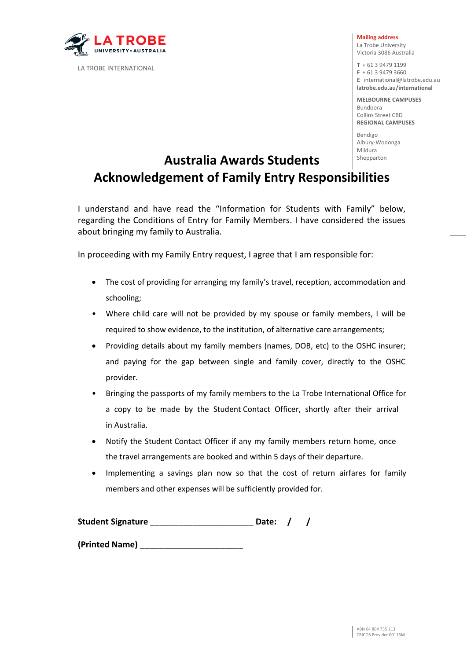

LA TROBE INTERNATIONAL

#### **Mailing address**

La Trobe University Victoria 3086 Australia

**T** + 61 3 9479 1199 **F** + 61 3 9479 3660 **E** [international@latrobe.edu.au](mailto:%20international@latrobe.edu.au)  **latrobe.edu.au/international** 

**MELBOURNE CAMPUSES**  Bundoora Collins Street CBD **REGIONAL CAMPUSES** 

Bendigo Albury-Wodonga Mildura

## Shepparton **Australia Awards Students Acknowledgement of Family Entry Responsibilities**

I understand and have read the "Information for Students with Family" below, regarding the Conditions of Entry for Family Members. I have considered the issues about bringing my family to Australia.

In proceeding with my Family Entry request, I agree that I am responsible for:

- The cost of providing for arranging my family's travel, reception, accommodation and schooling;
- Where child care will not be provided by my spouse or family members, I will be required to show evidence, to the institution, of alternative care arrangements;
- Providing details about my family members (names, DOB, etc) to the OSHC insurer; and paying for the gap between single and family cover, directly to the OSHC provider.
- Bringing the passports of my family members to the La Trobe International Office for a copy to be made by the Student Contact Officer, shortly after their arrival in Australia.
- Notify the Student Contact Officer if any my family members return home, once the travel arrangements are booked and within 5 days of their departure.
- Implementing a savings plan now so that the cost of return airfares for family members and other expenses will be sufficiently provided for.

| <b>Student Signature</b> | Date: / |  |
|--------------------------|---------|--|
| (Printed Name)           |         |  |